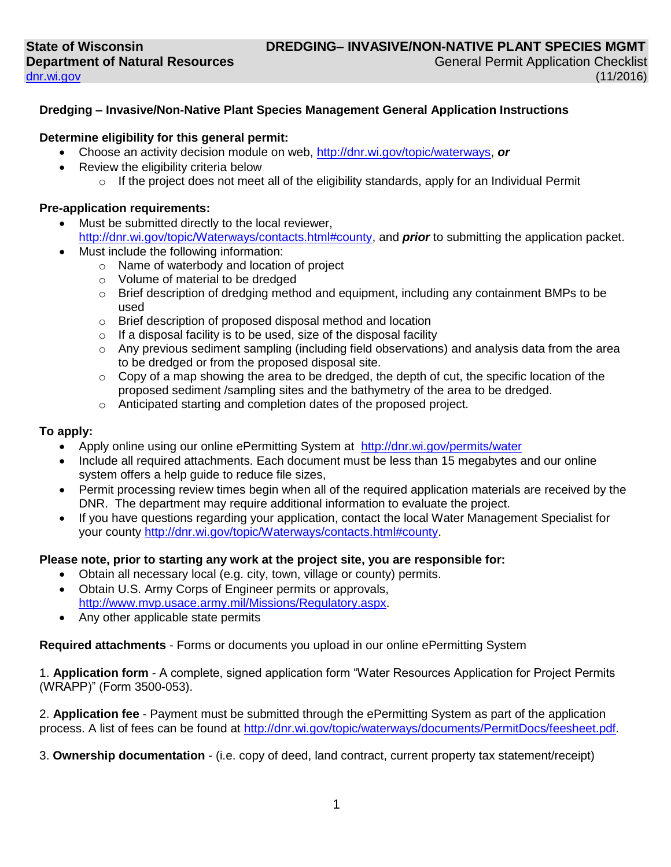### **Dredging – Invasive/Non-Native Plant Species Management General Application Instructions**

#### **Determine eligibility for this general permit:**

- Choose an activity decision module on web, [http://dnr.wi.gov/topic/waterways,](http://dnr.wi.gov/topic/waterways) *or*
- Review the eligibility criteria below
	- $\circ$  If the project does not meet all of the eligibility standards, apply for an Individual Permit

#### **Pre-application requirements:**

- Must be submitted directly to the local reviewer, [http://dnr.wi.gov/topic/Waterways/contacts.html#county,](http://dnr.wi.gov/topic/Waterways/contacts.html#county) and *prior* to submitting the application packet.
- Must include the following information:
	- o Name of waterbody and location of project
	- o Volume of material to be dredged
	- $\circ$  Brief description of dredging method and equipment, including any containment BMPs to be used
	- o Brief description of proposed disposal method and location
	- o If a disposal facility is to be used, size of the disposal facility
	- $\circ$  Any previous sediment sampling (including field observations) and analysis data from the area to be dredged or from the proposed disposal site.
	- $\circ$  Copy of a map showing the area to be dredged, the depth of cut, the specific location of the proposed sediment /sampling sites and the bathymetry of the area to be dredged.
	- o Anticipated starting and completion dates of the proposed project.

### **To apply:**

- Apply online using our online ePermitting System at <http://dnr.wi.gov/permits/water>
- Include all required attachments. Each document must be less than 15 megabytes and our online system offers a help guide to reduce file sizes,
- Permit processing review times begin when all of the required application materials are received by the DNR. The department may require additional information to evaluate the project.
- If you have questions regarding your application, contact the local Water Management Specialist for your county [http://dnr.wi.gov/topic/Waterways/contacts.html#county.](http://dnr.wi.gov/topic/Waterways/contacts.html#county)

### **Please note, prior to starting any work at the project site, you are responsible for:**

- Obtain all necessary local (e.g. city, town, village or county) permits.
- Obtain U.S. Army Corps of Engineer permits or approvals, [http://www.mvp.usace.army.mil/Missions/Regulatory.aspx.](http://www.mvp.usace.army.mil/Missions/Regulatory.aspx)
- Any other applicable state permits

**Required attachments** - Forms or documents you upload in our online ePermitting System

1. **Application form** - A complete, signed application form "Water Resources Application for Project Permits (WRAPP)" (Form 3500-053).

2. **Application fee** - Payment must be submitted through the ePermitting System as part of the application process. A list of fees can be found at [http://dnr.wi.gov/topic/waterways/documents/PermitDocs/feesheet.pdf.](http://dnr.wi.gov/topic/waterways/documents/PermitDocs/feesheet.pdf)

3. **Ownership documentation** - (i.e. copy of deed, land contract, current property tax statement/receipt)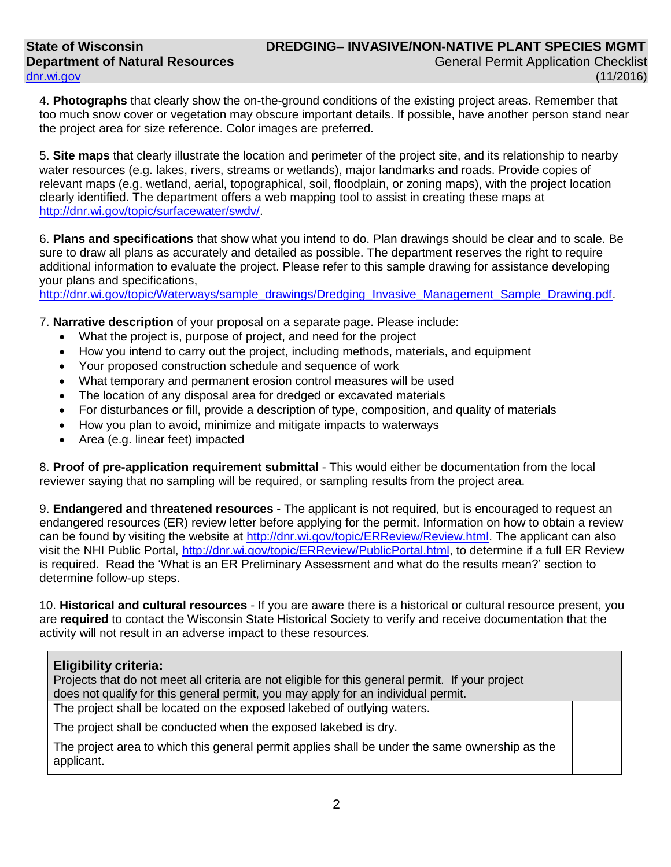4. **Photographs** that clearly show the on-the-ground conditions of the existing project areas. Remember that too much snow cover or vegetation may obscure important details. If possible, have another person stand near the project area for size reference. Color images are preferred.

5. **Site maps** that clearly illustrate the location and perimeter of the project site, and its relationship to nearby water resources (e.g. lakes, rivers, streams or wetlands), major landmarks and roads. Provide copies of relevant maps (e.g. wetland, aerial, topographical, soil, floodplain, or zoning maps), with the project location clearly identified. The department offers a web mapping tool to assist in creating these maps at [http://dnr.wi.gov/topic/surfacewater/swdv/.](http://dnr.wi.gov/topic/surfacewater/swdv/)

6. **Plans and specifications** that show what you intend to do. Plan drawings should be clear and to scale. Be sure to draw all plans as accurately and detailed as possible. The department reserves the right to require additional information to evaluate the project. Please refer to this sample drawing for assistance developing your plans and specifications,

[http://dnr.wi.gov/topic/Waterways/sample\\_drawings/Dredging\\_Invasive\\_Management\\_Sample\\_Drawing.pdf.](http://dnr.wi.gov/topic/Waterways/sample_drawings/Dredging_Invasive_Management_Sample_Drawing.pdf)

7. **Narrative description** of your proposal on a separate page. Please include:

- What the project is, purpose of project, and need for the project
- How you intend to carry out the project, including methods, materials, and equipment
- Your proposed construction schedule and sequence of work
- What temporary and permanent erosion control measures will be used
- The location of any disposal area for dredged or excavated materials
- For disturbances or fill, provide a description of type, composition, and quality of materials
- How you plan to avoid, minimize and mitigate impacts to waterways
- Area (e.g. linear feet) impacted

8. **Proof of pre-application requirement submittal** - This would either be documentation from the local reviewer saying that no sampling will be required, or sampling results from the project area.

9. **Endangered and threatened resources** - The applicant is not required, but is encouraged to request an endangered resources (ER) review letter before applying for the permit. Information on how to obtain a review can be found by visiting the website at [http://dnr.wi.gov/topic/ERReview/Review.html.](http://dnr.wi.gov/topic/ERReview/Review.html) The applicant can also visit the NHI Public Portal, [http://dnr.wi.gov/topic/ERReview/PublicPortal.html,](http://dnr.wi.gov/topic/ERReview/PublicPortal.html) to determine if a full ER Review is required. Read the 'What is an ER Preliminary Assessment and what do the results mean?' section to determine follow-up steps.

10. **Historical and cultural resources** - If you are aware there is a historical or cultural resource present, you are **required** to contact the Wisconsin State Historical Society to verify and receive documentation that the activity will not result in an adverse impact to these resources.

# **Eligibility criteria:**

Projects that do not meet all criteria are not eligible for this general permit. If your project does not qualify for this general permit, you may apply for an individual permit.

The project shall be located on the exposed lakebed of outlying waters.

The project shall be conducted when the exposed lakebed is dry.

The project area to which this general permit applies shall be under the same ownership as the applicant.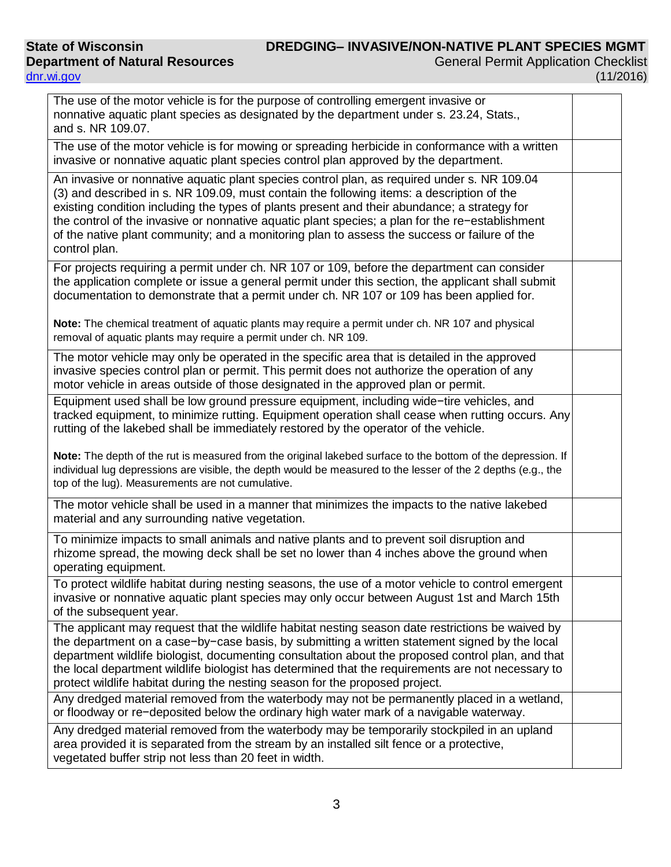## **State of Wisconsin Department of Natural Resources** [dnr.wi.gov](http://dnr.wi.gov/)

| The use of the motor vehicle is for the purpose of controlling emergent invasive or<br>nonnative aquatic plant species as designated by the department under s. 23.24, Stats.,<br>and s. NR 109.07.                                                                                                                                                                                                                                                                                                          |  |
|--------------------------------------------------------------------------------------------------------------------------------------------------------------------------------------------------------------------------------------------------------------------------------------------------------------------------------------------------------------------------------------------------------------------------------------------------------------------------------------------------------------|--|
| The use of the motor vehicle is for mowing or spreading herbicide in conformance with a written<br>invasive or nonnative aquatic plant species control plan approved by the department.                                                                                                                                                                                                                                                                                                                      |  |
| An invasive or nonnative aquatic plant species control plan, as required under s. NR 109.04<br>(3) and described in s. NR 109.09, must contain the following items: a description of the<br>existing condition including the types of plants present and their abundance; a strategy for<br>the control of the invasive or nonnative aquatic plant species; a plan for the re-establishment<br>of the native plant community; and a monitoring plan to assess the success or failure of the<br>control plan. |  |
| For projects requiring a permit under ch. NR 107 or 109, before the department can consider<br>the application complete or issue a general permit under this section, the applicant shall submit<br>documentation to demonstrate that a permit under ch. NR 107 or 109 has been applied for.                                                                                                                                                                                                                 |  |
| Note: The chemical treatment of aquatic plants may require a permit under ch. NR 107 and physical<br>removal of aquatic plants may require a permit under ch. NR 109.                                                                                                                                                                                                                                                                                                                                        |  |
| The motor vehicle may only be operated in the specific area that is detailed in the approved<br>invasive species control plan or permit. This permit does not authorize the operation of any<br>motor vehicle in areas outside of those designated in the approved plan or permit.                                                                                                                                                                                                                           |  |
| Equipment used shall be low ground pressure equipment, including wide-tire vehicles, and<br>tracked equipment, to minimize rutting. Equipment operation shall cease when rutting occurs. Any<br>rutting of the lakebed shall be immediately restored by the operator of the vehicle.                                                                                                                                                                                                                         |  |
| Note: The depth of the rut is measured from the original lakebed surface to the bottom of the depression. If<br>individual lug depressions are visible, the depth would be measured to the lesser of the 2 depths (e.g., the<br>top of the lug). Measurements are not cumulative.                                                                                                                                                                                                                            |  |
| The motor vehicle shall be used in a manner that minimizes the impacts to the native lakebed<br>material and any surrounding native vegetation.                                                                                                                                                                                                                                                                                                                                                              |  |
| To minimize impacts to small animals and native plants and to prevent soil disruption and<br>rhizome spread, the mowing deck shall be set no lower than 4 inches above the ground when<br>operating equipment.                                                                                                                                                                                                                                                                                               |  |
| To protect wildlife habitat during nesting seasons, the use of a motor vehicle to control emergent<br>invasive or nonnative aquatic plant species may only occur between August 1st and March 15th<br>of the subsequent year.                                                                                                                                                                                                                                                                                |  |
| The applicant may request that the wildlife habitat nesting season date restrictions be waived by<br>the department on a case-by-case basis, by submitting a written statement signed by the local<br>department wildlife biologist, documenting consultation about the proposed control plan, and that<br>the local department wildlife biologist has determined that the requirements are not necessary to<br>protect wildlife habitat during the nesting season for the proposed project.                 |  |
| Any dredged material removed from the waterbody may not be permanently placed in a wetland,<br>or floodway or re-deposited below the ordinary high water mark of a navigable waterway.                                                                                                                                                                                                                                                                                                                       |  |
| Any dredged material removed from the waterbody may be temporarily stockpiled in an upland<br>area provided it is separated from the stream by an installed silt fence or a protective,<br>vegetated buffer strip not less than 20 feet in width.                                                                                                                                                                                                                                                            |  |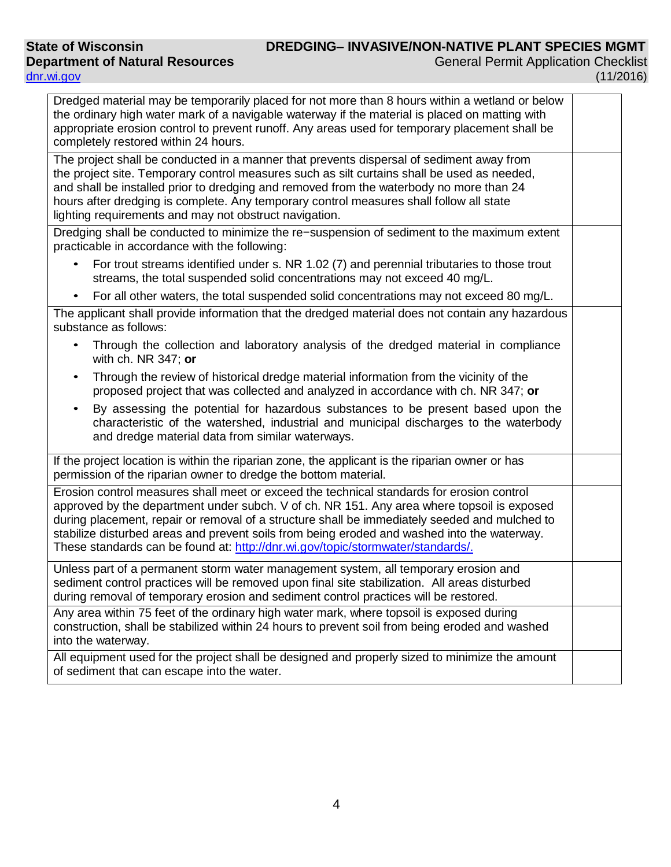| Dredged material may be temporarily placed for not more than 8 hours within a wetland or below<br>the ordinary high water mark of a navigable waterway if the material is placed on matting with<br>appropriate erosion control to prevent runoff. Any areas used for temporary placement shall be<br>completely restored within 24 hours.                                                                                                                                 |  |
|----------------------------------------------------------------------------------------------------------------------------------------------------------------------------------------------------------------------------------------------------------------------------------------------------------------------------------------------------------------------------------------------------------------------------------------------------------------------------|--|
| The project shall be conducted in a manner that prevents dispersal of sediment away from<br>the project site. Temporary control measures such as silt curtains shall be used as needed,<br>and shall be installed prior to dredging and removed from the waterbody no more than 24<br>hours after dredging is complete. Any temporary control measures shall follow all state<br>lighting requirements and may not obstruct navigation.                                    |  |
| Dredging shall be conducted to minimize the re-suspension of sediment to the maximum extent<br>practicable in accordance with the following:                                                                                                                                                                                                                                                                                                                               |  |
| For trout streams identified under s. NR 1.02 (7) and perennial tributaries to those trout<br>streams, the total suspended solid concentrations may not exceed 40 mg/L.                                                                                                                                                                                                                                                                                                    |  |
| For all other waters, the total suspended solid concentrations may not exceed 80 mg/L.<br>$\bullet$                                                                                                                                                                                                                                                                                                                                                                        |  |
| The applicant shall provide information that the dredged material does not contain any hazardous<br>substance as follows:                                                                                                                                                                                                                                                                                                                                                  |  |
| Through the collection and laboratory analysis of the dredged material in compliance<br>with ch. NR 347; or                                                                                                                                                                                                                                                                                                                                                                |  |
| Through the review of historical dredge material information from the vicinity of the<br>$\bullet$<br>proposed project that was collected and analyzed in accordance with ch. NR 347; or                                                                                                                                                                                                                                                                                   |  |
| By assessing the potential for hazardous substances to be present based upon the<br>characteristic of the watershed, industrial and municipal discharges to the waterbody<br>and dredge material data from similar waterways.                                                                                                                                                                                                                                              |  |
| If the project location is within the riparian zone, the applicant is the riparian owner or has<br>permission of the riparian owner to dredge the bottom material.                                                                                                                                                                                                                                                                                                         |  |
| Erosion control measures shall meet or exceed the technical standards for erosion control<br>approved by the department under subch. V of ch. NR 151. Any area where topsoil is exposed<br>during placement, repair or removal of a structure shall be immediately seeded and mulched to<br>stabilize disturbed areas and prevent soils from being eroded and washed into the waterway.<br>These standards can be found at: http://dnr.wi.gov/topic/stormwater/standards/. |  |
| Unless part of a permanent storm water management system, all temporary erosion and<br>sediment control practices will be removed upon final site stabilization. All areas disturbed<br>during removal of temporary erosion and sediment control practices will be restored.                                                                                                                                                                                               |  |
| Any area within 75 feet of the ordinary high water mark, where topsoil is exposed during<br>construction, shall be stabilized within 24 hours to prevent soil from being eroded and washed<br>into the waterway.                                                                                                                                                                                                                                                           |  |
| All equipment used for the project shall be designed and properly sized to minimize the amount<br>of sediment that can escape into the water.                                                                                                                                                                                                                                                                                                                              |  |